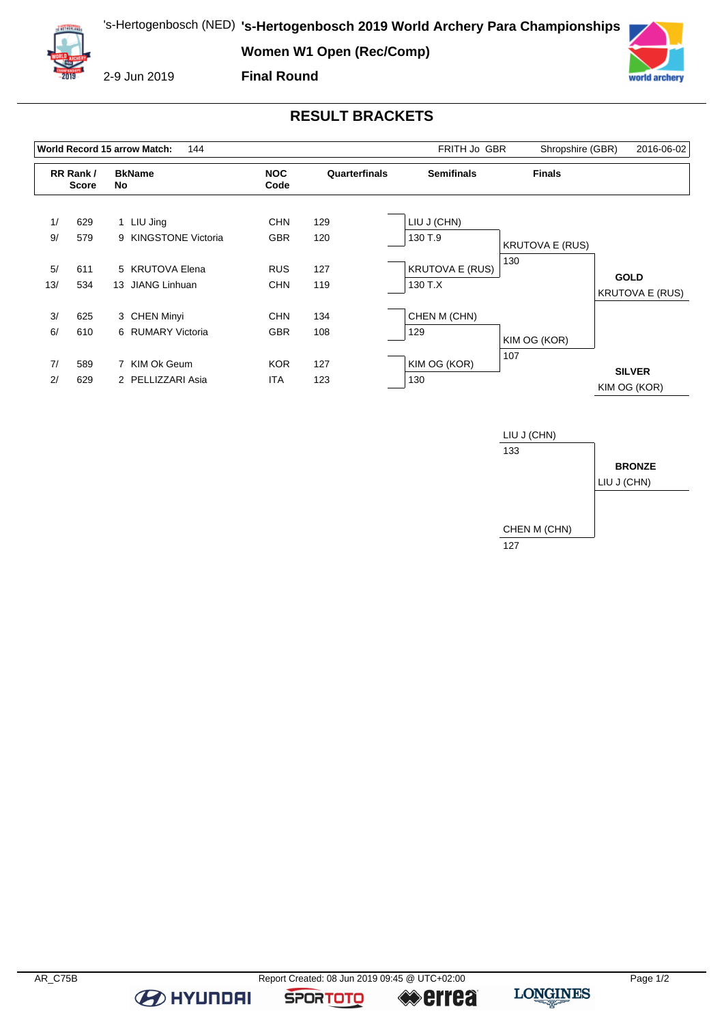**Women W1 Open (Rec/Comp)**



2-9 Jun 2019

## **Final Round**



## **RESULT BRACKETS**

|           |                          | World Record 15 arrow Match:<br>144 |                          | FRITH Jo GBR  | Shropshire (GBR)                  | 2016-06-02             |                                       |
|-----------|--------------------------|-------------------------------------|--------------------------|---------------|-----------------------------------|------------------------|---------------------------------------|
|           | RR Rank/<br><b>Score</b> | <b>BkName</b><br>No                 | <b>NOC</b><br>Code       | Quarterfinals | <b>Semifinals</b>                 | <b>Finals</b>          |                                       |
| 1/<br>9/  | 629<br>579               | 1 LIU Jing<br>9 KINGSTONE Victoria  | <b>CHN</b><br><b>GBR</b> | 129<br>120    | LIU J (CHN)<br>130 T.9            | <b>KRUTOVA E (RUS)</b> |                                       |
| 5/<br>13/ | 611<br>534               | 5 KRUTOVA Elena<br>13 JIANG Linhuan | <b>RUS</b><br><b>CHN</b> | 127<br>119    | <b>KRUTOVA E (RUS)</b><br>130 T.X | 130                    | <b>GOLD</b><br><b>KRUTOVA E (RUS)</b> |
| 3/<br>6/  | 625<br>610               | 3 CHEN Minyi<br>6 RUMARY Victoria   | <b>CHN</b><br><b>GBR</b> | 134<br>108    | CHEN M (CHN)<br>129               | KIM OG (KOR)           |                                       |
| 7/<br>2/  | 589<br>629               | 7 KIM Ok Geum<br>2 PELLIZZARI Asia  | <b>KOR</b><br><b>ITA</b> | 127<br>123    | KIM OG (KOR)<br>130               | 107                    | <b>SILVER</b><br>KIM OG (KOR)         |



**B** HYUNDAI

**SPORTOTO** 

**errea**